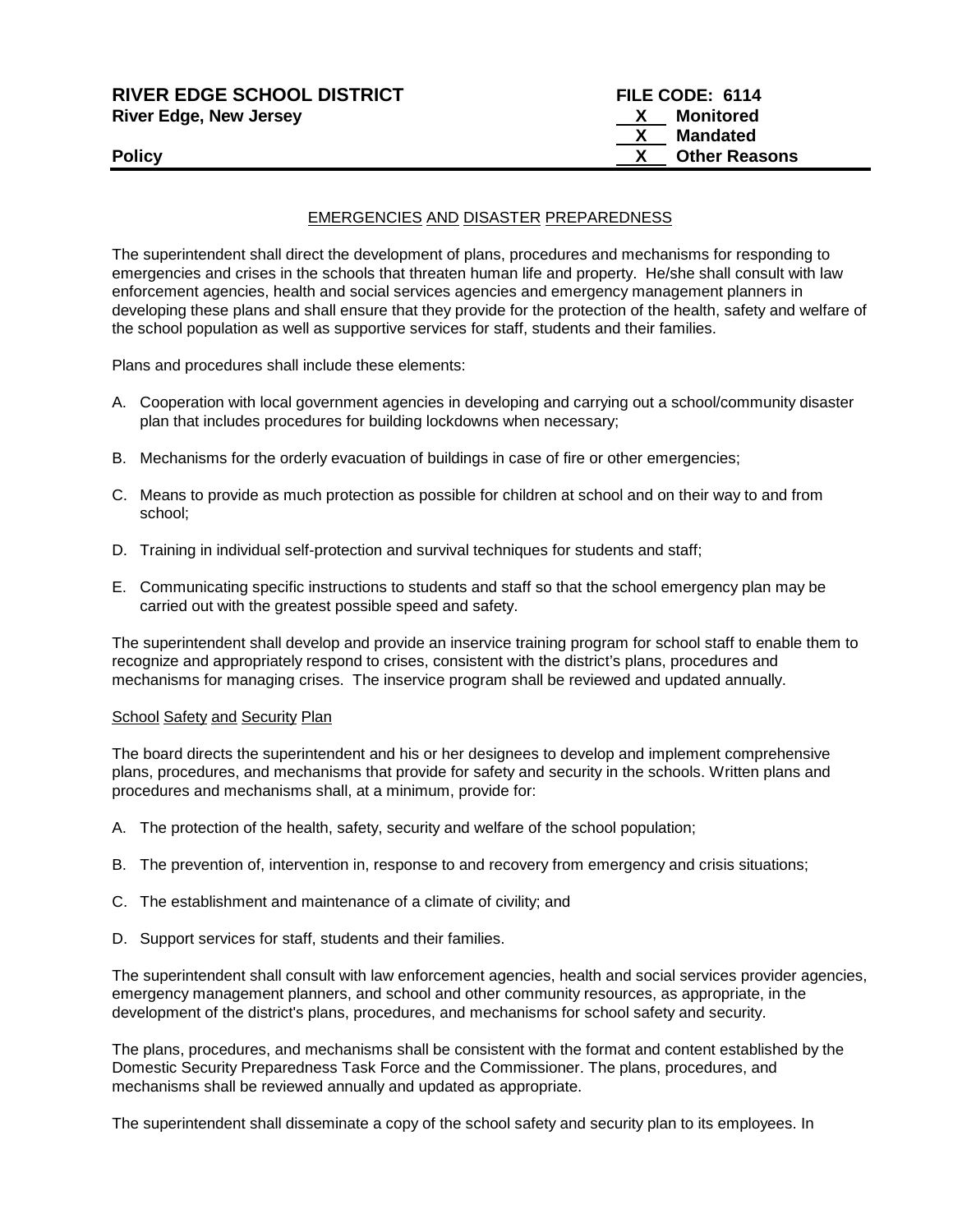| <b>RIVER EDGE SCHOOL DISTRICT</b> | FILE CODE: 6114      |  |
|-----------------------------------|----------------------|--|
| <b>River Edge, New Jersey</b>     | Monitored            |  |
|                                   | Mandated             |  |
| <b>Policy</b>                     | <b>Other Reasons</b> |  |
|                                   |                      |  |

## EMERGENCIES AND DISASTER PREPAREDNESS

The superintendent shall direct the development of plans, procedures and mechanisms for responding to emergencies and crises in the schools that threaten human life and property. He/she shall consult with law enforcement agencies, health and social services agencies and emergency management planners in developing these plans and shall ensure that they provide for the protection of the health, safety and welfare of the school population as well as supportive services for staff, students and their families.

Plans and procedures shall include these elements:

- A. Cooperation with local government agencies in developing and carrying out a school/community disaster plan that includes procedures for building lockdowns when necessary;
- B. Mechanisms for the orderly evacuation of buildings in case of fire or other emergencies;
- C. Means to provide as much protection as possible for children at school and on their way to and from school;
- D. Training in individual self-protection and survival techniques for students and staff;
- E. Communicating specific instructions to students and staff so that the school emergency plan may be carried out with the greatest possible speed and safety.

The superintendent shall develop and provide an inservice training program for school staff to enable them to recognize and appropriately respond to crises, consistent with the district's plans, procedures and mechanisms for managing crises. The inservice program shall be reviewed and updated annually.

## School Safety and Security Plan

The board directs the superintendent and his or her designees to develop and implement comprehensive plans, procedures, and mechanisms that provide for safety and security in the schools. Written plans and procedures and mechanisms shall, at a minimum, provide for:

- A. The protection of the health, safety, security and welfare of the school population;
- B. The prevention of, intervention in, response to and recovery from emergency and crisis situations;
- C. The establishment and maintenance of a climate of civility; and
- D. Support services for staff, students and their families.

The superintendent shall consult with law enforcement agencies, health and social services provider agencies, emergency management planners, and school and other community resources, as appropriate, in the development of the district's plans, procedures, and mechanisms for school safety and security.

The plans, procedures, and mechanisms shall be consistent with the format and content established by the Domestic Security Preparedness Task Force and the Commissioner. The plans, procedures, and mechanisms shall be reviewed annually and updated as appropriate.

The superintendent shall disseminate a copy of the school safety and security plan to its employees. In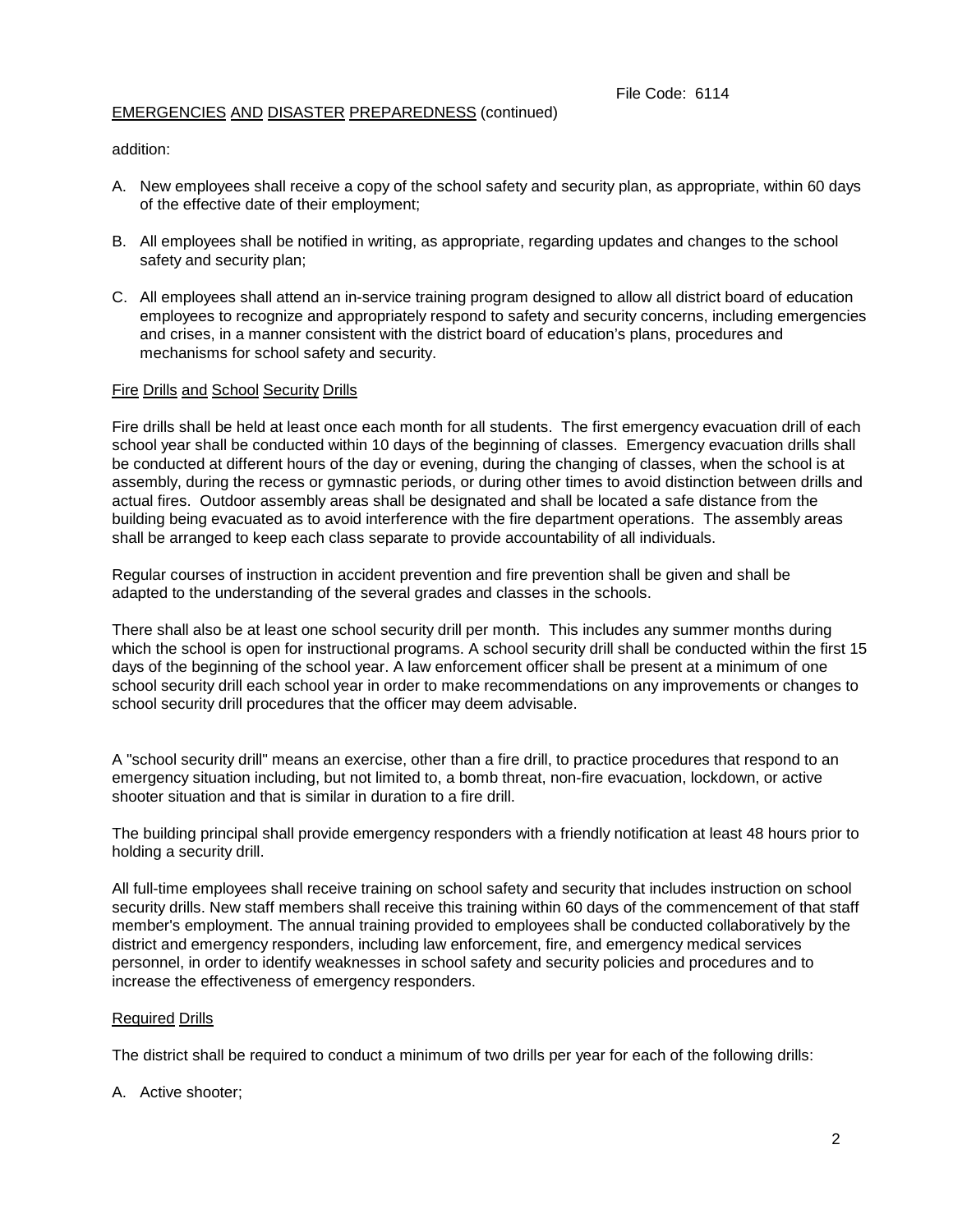## EMERGENCIES AND DISASTER PREPAREDNESS (continued)

addition:

- A. New employees shall receive a copy of the school safety and security plan, as appropriate, within 60 days of the effective date of their employment;
- B. All employees shall be notified in writing, as appropriate, regarding updates and changes to the school safety and security plan;
- C. All employees shall attend an in-service training program designed to allow all district board of education employees to recognize and appropriately respond to safety and security concerns, including emergencies and crises, in a manner consistent with the district board of education's plans, procedures and mechanisms for school safety and security.

## Fire Drills and School Security Drills

Fire drills shall be held at least once each month for all students. The first emergency evacuation drill of each school year shall be conducted within 10 days of the beginning of classes. Emergency evacuation drills shall be conducted at different hours of the day or evening, during the changing of classes, when the school is at assembly, during the recess or gymnastic periods, or during other times to avoid distinction between drills and actual fires. Outdoor assembly areas shall be designated and shall be located a safe distance from the building being evacuated as to avoid interference with the fire department operations. The assembly areas shall be arranged to keep each class separate to provide accountability of all individuals.

Regular courses of instruction in accident prevention and fire prevention shall be given and shall be adapted to the understanding of the several grades and classes in the schools.

There shall also be at least one school security drill per month. This includes any summer months during which the school is open for instructional programs. A school security drill shall be conducted within the first 15 days of the beginning of the school year. A law enforcement officer shall be present at a minimum of one school security drill each school year in order to make recommendations on any improvements or changes to school security drill procedures that the officer may deem advisable.

A "school security drill" means an exercise, other than a fire drill, to practice procedures that respond to an emergency situation including, but not limited to, a bomb threat, non-fire evacuation, lockdown, or active shooter situation and that is similar in duration to a fire drill.

The building principal shall provide emergency responders with a friendly notification at least 48 hours prior to holding a security drill.

All full-time employees shall receive training on school safety and security that includes instruction on school security drills. New staff members shall receive this training within 60 days of the commencement of that staff member's employment. The annual training provided to employees shall be conducted collaboratively by the district and emergency responders, including law enforcement, fire, and emergency medical services personnel, in order to identify weaknesses in school safety and security policies and procedures and to increase the effectiveness of emergency responders.

## Required Drills

The district shall be required to conduct a minimum of two drills per year for each of the following drills:

A. Active shooter;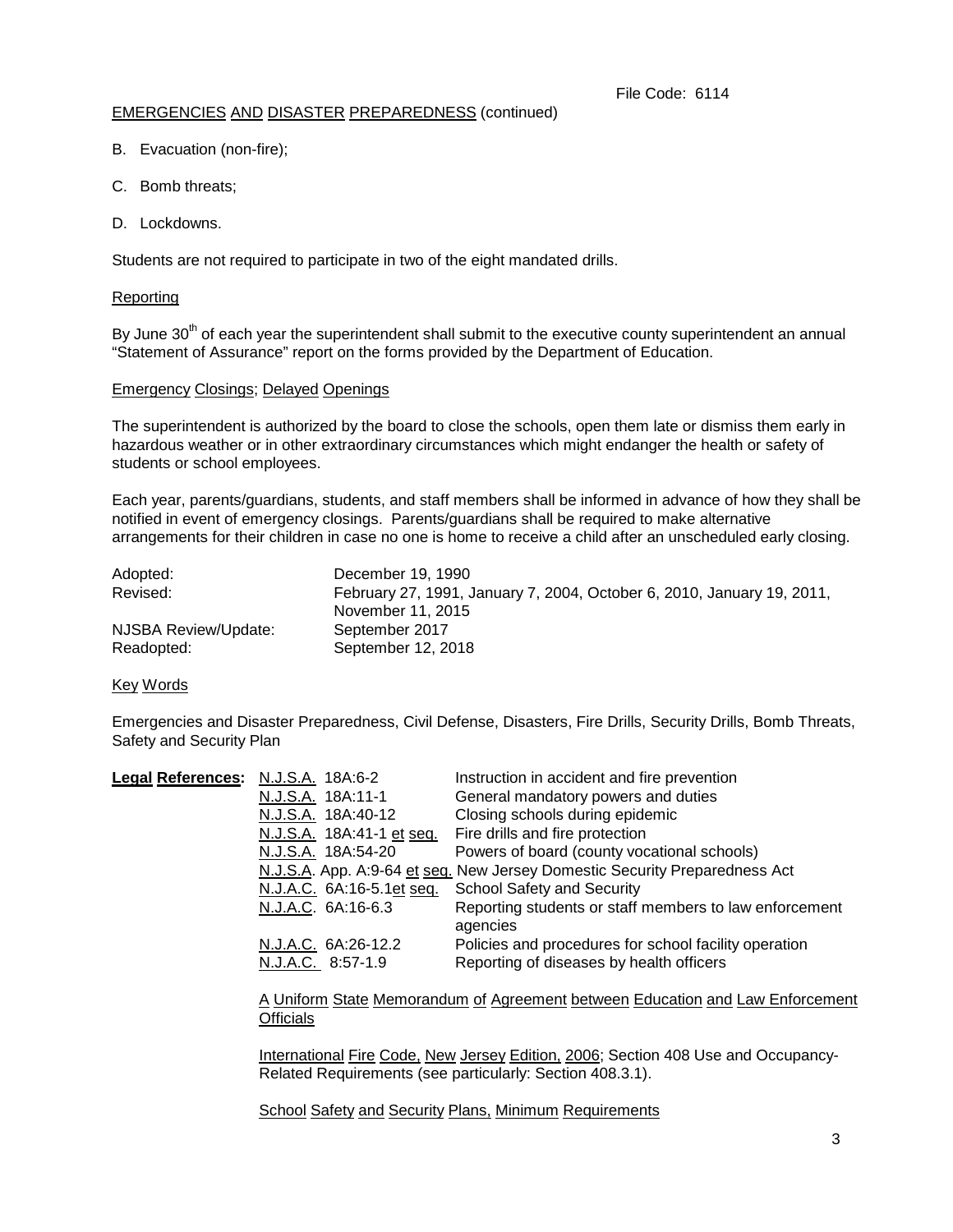## EMERGENCIES AND DISASTER PREPAREDNESS (continued)

- B. Evacuation (non-fire);
- C. Bomb threats;
- D. Lockdowns.

Students are not required to participate in two of the eight mandated drills.

## Reporting

By June 30<sup>th</sup> of each year the superintendent shall submit to the executive county superintendent an annual "Statement of Assurance" report on the forms provided by the Department of Education.

## Emergency Closings; Delayed Openings

The superintendent is authorized by the board to close the schools, open them late or dismiss them early in hazardous weather or in other extraordinary circumstances which might endanger the health or safety of students or school employees.

Each year, parents/guardians, students, and staff members shall be informed in advance of how they shall be notified in event of emergency closings. Parents/guardians shall be required to make alternative arrangements for their children in case no one is home to receive a child after an unscheduled early closing.

| Adopted:             | December 19, 1990                                                      |
|----------------------|------------------------------------------------------------------------|
| Revised:             | February 27, 1991, January 7, 2004, October 6, 2010, January 19, 2011, |
|                      | November 11, 2015                                                      |
| NJSBA Review/Update: | September 2017                                                         |
| Readopted:           | September 12, 2018                                                     |

## Key Words

Emergencies and Disaster Preparedness, Civil Defense, Disasters, Fire Drills, Security Drills, Bomb Threats, Safety and Security Plan

| Legal References: N.J.S.A. 18A:6-2                                         | Instruction in accident and fire prevention            |
|----------------------------------------------------------------------------|--------------------------------------------------------|
| N.J.S.A. 18A:11-1                                                          | General mandatory powers and duties                    |
| Closing schools during epidemic<br>N.J.S.A. 18A:40-12                      |                                                        |
| Fire drills and fire protection<br>N.J.S.A. 18A:41-1 et seq.               |                                                        |
| N.J.S.A. 18A:54-20                                                         | Powers of board (county vocational schools)            |
| N.J.S.A. App. A:9-64 et seq. New Jersey Domestic Security Preparedness Act |                                                        |
| <b>School Safety and Security</b><br>N.J.A.C. 6A:16-5.1et seq.             |                                                        |
| N.J.A.C. 6A:16-6.3                                                         | Reporting students or staff members to law enforcement |
| agencies                                                                   |                                                        |
| N.J.A.C. 6A:26-12.2                                                        | Policies and procedures for school facility operation  |
| N.J.A.C. 8:57-1.9                                                          | Reporting of diseases by health officers               |

A Uniform State Memorandum of Agreement between Education and Law Enforcement **Officials** 

International Fire Code, New Jersey Edition, 2006; Section 408 Use and Occupancy-Related Requirements (see particularly: Section 408.3.1).

School Safety and Security Plans, Minimum Requirements